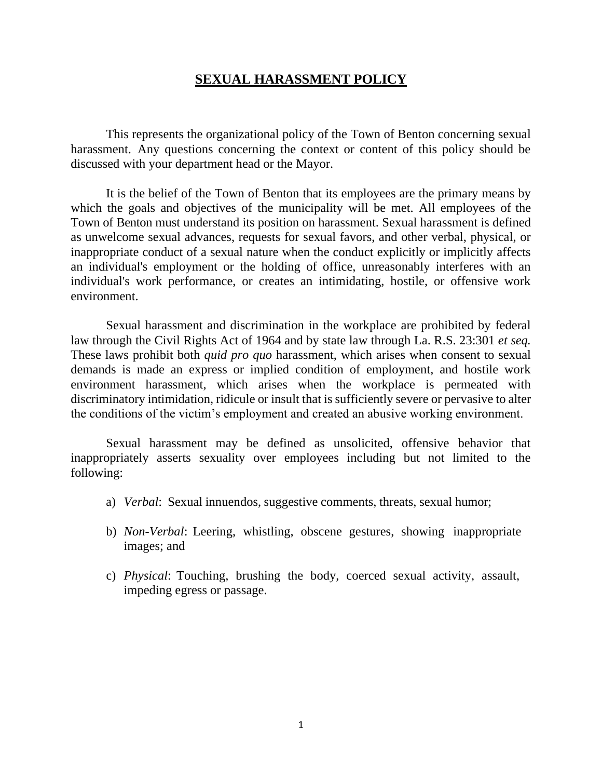## **SEXUAL HARASSMENT POLICY**

This represents the organizational policy of the Town of Benton concerning sexual harassment. Any questions concerning the context or content of this policy should be discussed with your department head or the Mayor.

It is the belief of the Town of Benton that its employees are the primary means by which the goals and objectives of the municipality will be met. All employees of the Town of Benton must understand its position on harassment. Sexual harassment is defined as unwelcome sexual advances, requests for sexual favors, and other verbal, physical, or inappropriate conduct of a sexual nature when the conduct explicitly or implicitly affects an individual's employment or the holding of office, unreasonably interferes with an individual's work performance, or creates an intimidating, hostile, or offensive work environment.

Sexual harassment and discrimination in the workplace are prohibited by federal law through the Civil Rights Act of 1964 and by state law through La. R.S. 23:301 *et seq.*  These laws prohibit both *quid pro quo* harassment, which arises when consent to sexual demands is made an express or implied condition of employment, and hostile work environment harassment, which arises when the workplace is permeated with discriminatory intimidation, ridicule or insult that is sufficiently severe or pervasive to alter the conditions of the victim's employment and created an abusive working environment.

Sexual harassment may be defined as unsolicited, offensive behavior that inappropriately asserts sexuality over employees including but not limited to the following:

- a) *Verbal*: Sexual innuendos, suggestive comments, threats, sexual humor;
- b) *Non-Verbal*: Leering, whistling, obscene gestures, showing inappropriate images; and
- c) *Physical*: Touching, brushing the body, coerced sexual activity, assault, impeding egress or passage.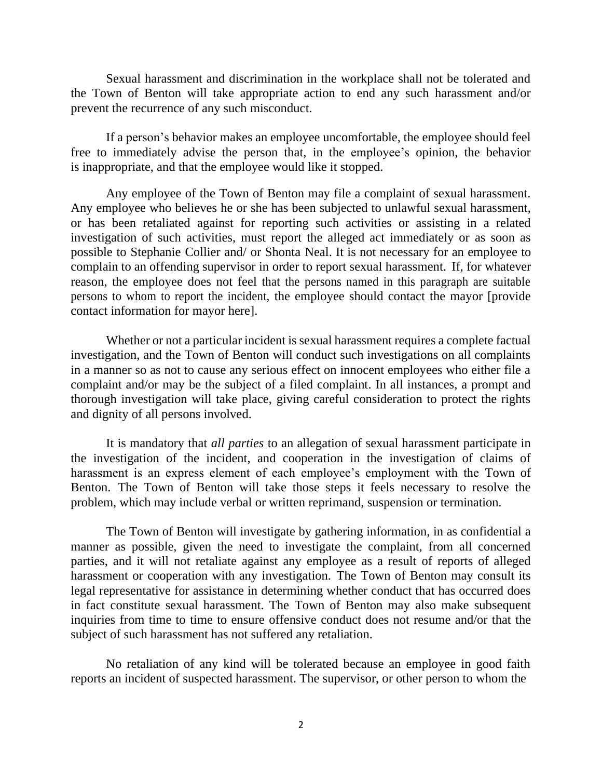Sexual harassment and discrimination in the workplace shall not be tolerated and the Town of Benton will take appropriate action to end any such harassment and/or prevent the recurrence of any such misconduct.

If a person's behavior makes an employee uncomfortable, the employee should feel free to immediately advise the person that, in the employee's opinion, the behavior is inappropriate, and that the employee would like it stopped.

Any employee of the Town of Benton may file a complaint of sexual harassment. Any employee who believes he or she has been subjected to unlawful sexual harassment, or has been retaliated against for reporting such activities or assisting in a related investigation of such activities, must report the alleged act immediately or as soon as possible to Stephanie Collier and/ or Shonta Neal. It is not necessary for an employee to complain to an offending supervisor in order to report sexual harassment. If, for whatever reason, the employee does not feel that the persons named in this paragraph are suitable persons to whom to report the incident, the employee should contact the mayor [provide contact information for mayor here].

Whether or not a particular incident is sexual harassment requires a complete factual investigation, and the Town of Benton will conduct such investigations on all complaints in a manner so as not to cause any serious effect on innocent employees who either file a complaint and/or may be the subject of a filed complaint. In all instances, a prompt and thorough investigation will take place, giving careful consideration to protect the rights and dignity of all persons involved.

It is mandatory that *all parties* to an allegation of sexual harassment participate in the investigation of the incident, and cooperation in the investigation of claims of harassment is an express element of each employee's employment with the Town of Benton. The Town of Benton will take those steps it feels necessary to resolve the problem, which may include verbal or written reprimand, suspension or termination.

The Town of Benton will investigate by gathering information, in as confidential a manner as possible, given the need to investigate the complaint, from all concerned parties, and it will not retaliate against any employee as a result of reports of alleged harassment or cooperation with any investigation. The Town of Benton may consult its legal representative for assistance in determining whether conduct that has occurred does in fact constitute sexual harassment. The Town of Benton may also make subsequent inquiries from time to time to ensure offensive conduct does not resume and/or that the subject of such harassment has not suffered any retaliation.

No retaliation of any kind will be tolerated because an employee in good faith reports an incident of suspected harassment. The supervisor, or other person to whom the